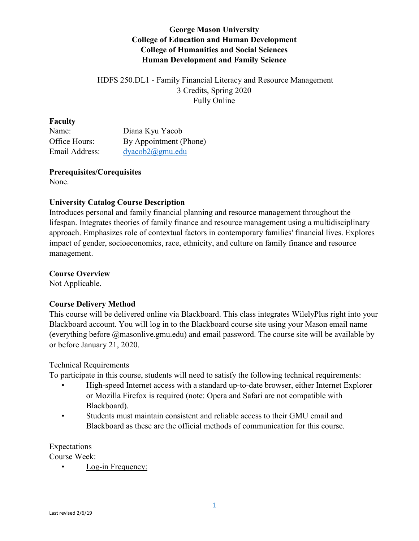# **George Mason University College of Education and Human Development College of Humanities and Social Sciences Human Development and Family Science**

## HDFS 250.DL1 - Family Financial Literacy and Resource Management 3 Credits, Spring 2020 Fully Online

#### **Faculty**

| Name:          | Diana Kyu Yacob        |
|----------------|------------------------|
| Office Hours:  | By Appointment (Phone) |
| Email Address: | $dyacob2(a)$ gmu.edu   |

**Prerequisites/Corequisites** None.

## **University Catalog Course Description**

Introduces personal and family financial planning and resource management throughout the lifespan. Integrates theories of family finance and resource management using a multidisciplinary approach. Emphasizes role of contextual factors in contemporary families' financial lives. Explores impact of gender, socioeconomics, race, ethnicity, and culture on family finance and resource management.

## **Course Overview**

Not Applicable.

## **Course Delivery Method**

This course will be delivered online via Blackboard. This class integrates WilelyPlus right into your Blackboard account. You will log in to the Blackboard course site using your Mason email name (everything before @masonlive.gmu.edu) and email password. The course site will be available by or before January 21, 2020.

## Technical Requirements

To participate in this course, students will need to satisfy the following technical requirements:

- High-speed Internet access with a standard up-to-date browser, either Internet Explorer or Mozilla Firefox is required (note: Opera and Safari are not compatible with Blackboard).
- Students must maintain consistent and reliable access to their GMU email and Blackboard as these are the official methods of communication for this course.

Expectations Course Week:

• Log-in Frequency: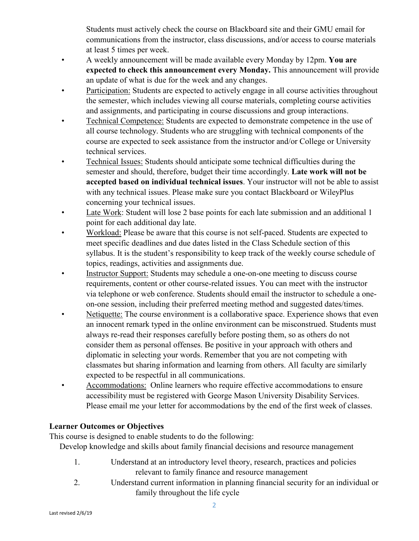Students must actively check the course on Blackboard site and their GMU email for communications from the instructor, class discussions, and/or access to course materials at least 5 times per week.

- A weekly announcement will be made available every Monday by 12pm. **You are expected to check this announcement every Monday.** This announcement will provide an update of what is due for the week and any changes.
- Participation: Students are expected to actively engage in all course activities throughout the semester, which includes viewing all course materials, completing course activities and assignments, and participating in course discussions and group interactions.
- Technical Competence: Students are expected to demonstrate competence in the use of all course technology. Students who are struggling with technical components of the course are expected to seek assistance from the instructor and/or College or University technical services.
- Technical Issues: Students should anticipate some technical difficulties during the semester and should, therefore, budget their time accordingly. **Late work will not be accepted based on individual technical issues**. Your instructor will not be able to assist with any technical issues. Please make sure you contact Blackboard or WileyPlus concerning your technical issues.
- Late Work: Student will lose 2 base points for each late submission and an additional 1 point for each additional day late.
- Workload: Please be aware that this course is not self-paced. Students are expected to meet specific deadlines and due dates listed in the Class Schedule section of this syllabus. It is the student's responsibility to keep track of the weekly course schedule of topics, readings, activities and assignments due.
- Instructor Support: Students may schedule a one-on-one meeting to discuss course requirements, content or other course-related issues. You can meet with the instructor via telephone or web conference. Students should email the instructor to schedule a oneon-one session, including their preferred meeting method and suggested dates/times.
- Netiquette: The course environment is a collaborative space. Experience shows that even an innocent remark typed in the online environment can be misconstrued. Students must always re-read their responses carefully before posting them, so as others do not consider them as personal offenses. Be positive in your approach with others and diplomatic in selecting your words. Remember that you are not competing with classmates but sharing information and learning from others. All faculty are similarly expected to be respectful in all communications.
- Accommodations: Online learners who require effective accommodations to ensure accessibility must be registered with George Mason University Disability Services. Please email me your letter for accommodations by the end of the first week of classes.

# **Learner Outcomes or Objectives**

This course is designed to enable students to do the following:

Develop knowledge and skills about family financial decisions and resource management

- 1. Understand at an introductory level theory, research, practices and policies relevant to family finance and resource management
- 2. Understand current information in planning financial security for an individual or family throughout the life cycle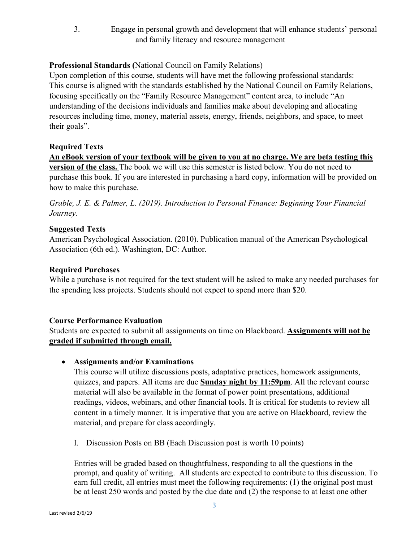3. Engage in personal growth and development that will enhance students' personal and family literacy and resource management

## **Professional Standards (**National Council on Family Relations)

Upon completion of this course, students will have met the following professional standards: This course is aligned with the standards established by the National Council on Family Relations, focusing specifically on the "Family Resource Management" content area, to include "An understanding of the decisions individuals and families make about developing and allocating resources including time, money, material assets, energy, friends, neighbors, and space, to meet their goals".

#### **Required Texts**

**An eBook version of your textbook will be given to you at no charge. We are beta testing this version of the class.** The book we will use this semester is listed below. You do not need to purchase this book. If you are interested in purchasing a hard copy, information will be provided on how to make this purchase.

*Grable, J. E. & Palmer, L. (2019). Introduction to Personal Finance: Beginning Your Financial Journey.*

#### **Suggested Texts**

American Psychological Association. (2010). Publication manual of the American Psychological Association (6th ed.). Washington, DC: Author.

#### **Required Purchases**

While a purchase is not required for the text student will be asked to make any needed purchases for the spending less projects. Students should not expect to spend more than \$20.

## **Course Performance Evaluation**

Students are expected to submit all assignments on time on Blackboard. **Assignments will not be graded if submitted through email.** 

• **Assignments and/or Examinations**

This course will utilize discussions posts, adaptative practices, homework assignments, quizzes, and papers. All items are due **Sunday night by 11:59pm**. All the relevant course material will also be available in the format of power point presentations, additional readings, videos, webinars, and other financial tools. It is critical for students to review all content in a timely manner. It is imperative that you are active on Blackboard, review the material, and prepare for class accordingly.

I. Discussion Posts on BB (Each Discussion post is worth 10 points)

Entries will be graded based on thoughtfulness, responding to all the questions in the prompt, and quality of writing. All students are expected to contribute to this discussion. To earn full credit, all entries must meet the following requirements: (1) the original post must be at least 250 words and posted by the due date and (2) the response to at least one other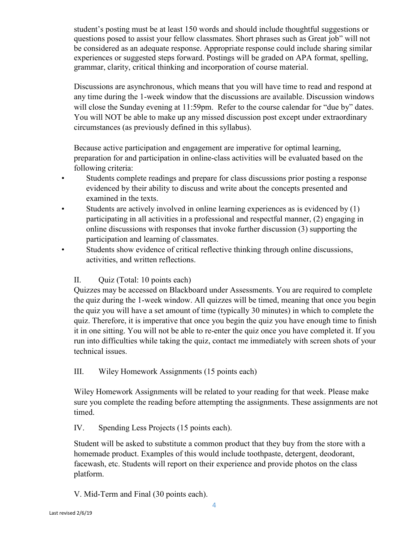student's posting must be at least 150 words and should include thoughtful suggestions or questions posed to assist your fellow classmates. Short phrases such as Great job" will not be considered as an adequate response. Appropriate response could include sharing similar experiences or suggested steps forward. Postings will be graded on APA format, spelling, grammar, clarity, critical thinking and incorporation of course material.

Discussions are asynchronous, which means that you will have time to read and respond at any time during the 1-week window that the discussions are available. Discussion windows will close the Sunday evening at 11:59pm. Refer to the course calendar for "due by" dates. You will NOT be able to make up any missed discussion post except under extraordinary circumstances (as previously defined in this syllabus).

Because active participation and engagement are imperative for optimal learning, preparation for and participation in online-class activities will be evaluated based on the following criteria:

- Students complete readings and prepare for class discussions prior posting a response evidenced by their ability to discuss and write about the concepts presented and examined in the texts.
- Students are actively involved in online learning experiences as is evidenced by  $(1)$ participating in all activities in a professional and respectful manner, (2) engaging in online discussions with responses that invoke further discussion (3) supporting the participation and learning of classmates.
- Students show evidence of critical reflective thinking through online discussions, activities, and written reflections.

# II. Quiz (Total: 10 points each)

Quizzes may be accessed on Blackboard under Assessments. You are required to complete the quiz during the 1-week window. All quizzes will be timed, meaning that once you begin the quiz you will have a set amount of time (typically 30 minutes) in which to complete the quiz. Therefore, it is imperative that once you begin the quiz you have enough time to finish it in one sitting. You will not be able to re-enter the quiz once you have completed it. If you run into difficulties while taking the quiz, contact me immediately with screen shots of your technical issues.

# III. Wiley Homework Assignments (15 points each)

Wiley Homework Assignments will be related to your reading for that week. Please make sure you complete the reading before attempting the assignments. These assignments are not timed.

# IV. Spending Less Projects (15 points each).

Student will be asked to substitute a common product that they buy from the store with a homemade product. Examples of this would include toothpaste, detergent, deodorant, facewash, etc. Students will report on their experience and provide photos on the class platform.

V. Mid-Term and Final (30 points each).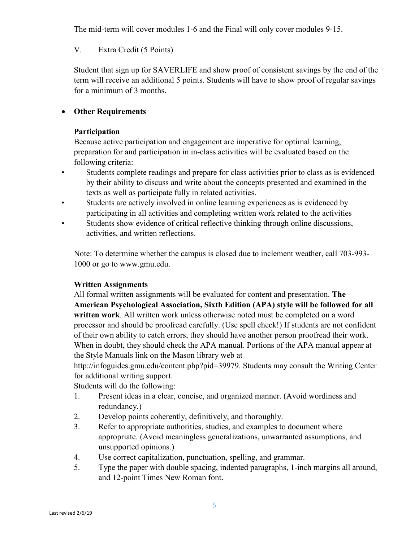The mid-term will cover modules 1-6 and the Final will only cover modules 9-15.

# V. Extra Credit (5 Points)

Student that sign up for SAVERLIFE and show proof of consistent savings by the end of the term will receive an additional 5 points. Students will have to show proof of regular savings for a minimum of 3 months.

# • **Other Requirements**

### **Participation**

Because active participation and engagement are imperative for optimal learning, preparation for and participation in in-class activities will be evaluated based on the following criteria:

- Students complete readings and prepare for class activities prior to class as is evidenced by their ability to discuss and write about the concepts presented and examined in the texts as well as participate fully in related activities.
- Students are actively involved in online learning experiences as is evidenced by participating in all activities and completing written work related to the activities
- Students show evidence of critical reflective thinking through online discussions, activities, and written reflections.

Note: To determine whether the campus is closed due to inclement weather, call 703-993- 1000 or go to www.gmu.edu.

## **Written Assignments**

All formal written assignments will be evaluated for content and presentation. **The American Psychological Association, Sixth Edition (APA) style will be followed for all written work**. All written work unless otherwise noted must be completed on a word processor and should be proofread carefully. (Use spell check!) If students are not confident of their own ability to catch errors, they should have another person proofread their work. When in doubt, they should check the APA manual. Portions of the APA manual appear at the Style Manuals link on the Mason library web at

http://infoguides.gmu.edu/content.php?pid=39979. Students may consult the Writing Center for additional writing support.

Students will do the following:

- 1. Present ideas in a clear, concise, and organized manner. (Avoid wordiness and redundancy.)
- 2. Develop points coherently, definitively, and thoroughly.
- 3. Refer to appropriate authorities, studies, and examples to document where appropriate. (Avoid meaningless generalizations, unwarranted assumptions, and unsupported opinions.)
- 4. Use correct capitalization, punctuation, spelling, and grammar.
- 5. Type the paper with double spacing, indented paragraphs, 1-inch margins all around, and 12-point Times New Roman font.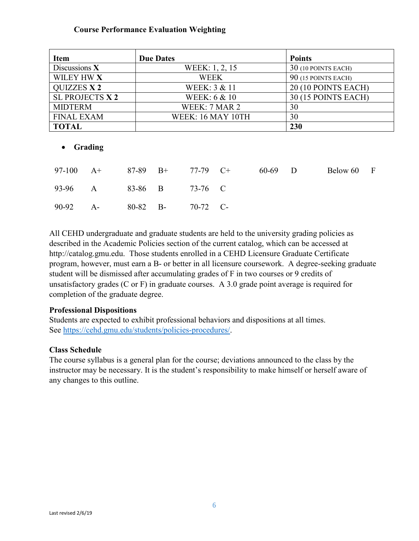### **Course Performance Evaluation Weighting**

| <b>Item</b>        | <b>Due Dates</b>        | <b>Points</b>              |
|--------------------|-------------------------|----------------------------|
| Discussions $X$    | WEEK: 1, 2, 15          | 30 (10 POINTS EACH)        |
| WILEY HW X         | <b>WEEK</b>             | 90 (15 POINTS EACH)        |
| <b>QUIZZES X 2</b> | WEEK: 3 & 11            | 20 (10 POINTS EACH)        |
| SL PROJECTS X 2    | <b>WEEK: 6 &amp; 10</b> | <b>30 (15 POINTS EACH)</b> |
| <b>MIDTERM</b>     | WEEK: 7 MAR 2           | 30                         |
| <b>FINAL EXAM</b>  | WEEK: 16 MAY 10TH       | 30                         |
| <b>TOTAL</b>       |                         | 230                        |

#### • **Grading**

|          | 97-100 A+ 87-89 B+ 77-79 C+ |          |          | 60-69 D | Below 60 F |  |
|----------|-----------------------------|----------|----------|---------|------------|--|
|          | 93-96 A 83-86 B 73-76 C     |          |          |         |            |  |
| 90-92 A- |                             | 80-82 B- | 70-72 C- |         |            |  |

All CEHD undergraduate and graduate students are held to the university grading policies as described in the Academic Policies section of the current catalog, which can be accessed at http://catalog.gmu.edu. Those students enrolled in a CEHD Licensure Graduate Certificate program, however, must earn a B- or better in all licensure coursework. A degree-seeking graduate student will be dismissed after accumulating grades of F in two courses or 9 credits of unsatisfactory grades (C or F) in graduate courses. A 3.0 grade point average is required for completion of the graduate degree.

#### **Professional Dispositions**

Students are expected to exhibit professional behaviors and dispositions at all times. See [https://cehd.gmu.edu/students/policies-procedures/.](https://cehd.gmu.edu/students/policies-procedures/)

#### **Class Schedule**

The course syllabus is a general plan for the course; deviations announced to the class by the instructor may be necessary. It is the student's responsibility to make himself or herself aware of any changes to this outline.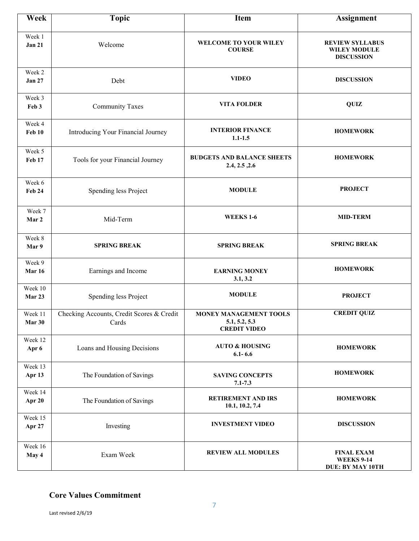| Week                    | <b>Topic</b>                                       | <b>Item</b>                                                    | <b>Assignment</b>                                                  |
|-------------------------|----------------------------------------------------|----------------------------------------------------------------|--------------------------------------------------------------------|
| Week 1<br><b>Jan 21</b> | Welcome                                            | <b>WELCOME TO YOUR WILEY</b><br><b>COURSE</b>                  | <b>REVIEW SYLLABUS</b><br><b>WILEY MODULE</b><br><b>DISCUSSION</b> |
| Week 2<br><b>Jan 27</b> | Debt                                               | <b>VIDEO</b>                                                   | <b>DISCUSSION</b>                                                  |
| Week 3<br>Feb 3         | <b>Community Taxes</b>                             | <b>VITA FOLDER</b>                                             | QUIZ                                                               |
| Week 4<br>Feb 10        | Introducing Your Financial Journey                 | <b>INTERIOR FINANCE</b><br>$1.1 - 1.5$                         | <b>HOMEWORK</b>                                                    |
| Week 5<br>Feb 17        | Tools for your Financial Journey                   | <b>BUDGETS AND BALANCE SHEETS</b><br>2.4, 2.5, 2.6             | <b>HOMEWORK</b>                                                    |
| Week 6<br><b>Feb 24</b> | Spending less Project                              | <b>MODULE</b>                                                  | <b>PROJECT</b>                                                     |
| Week 7<br>Mar 2         | Mid-Term                                           | <b>WEEKS 1-6</b>                                               | <b>MID-TERM</b>                                                    |
| Week 8<br>Mar 9         | <b>SPRING BREAK</b>                                | <b>SPRING BREAK</b>                                            | <b>SPRING BREAK</b>                                                |
| Week 9<br><b>Mar 16</b> | Earnings and Income                                | <b>EARNING MONEY</b><br>3.1, 3.2                               | <b>HOMEWORK</b>                                                    |
| Week 10<br>Mar 23       | Spending less Project                              | <b>MODULE</b>                                                  | <b>PROJECT</b>                                                     |
| Week 11<br>Mar 30       | Checking Accounts, Credit Scores & Credit<br>Cards | MONEY MANAGEMENT TOOLS<br>5.1, 5.2, 5.3<br><b>CREDIT VIDEO</b> | <b>CREDIT QUIZ</b>                                                 |
| Week 12<br>Apr 6        | Loans and Housing Decisions                        | <b>AUTO &amp; HOUSING</b><br>$6.1 - 6.6$                       | <b>HOMEWORK</b>                                                    |
| Week 13<br>Apr 13       | The Foundation of Savings                          | <b>SAVING CONCEPTS</b><br>$7.1 - 7.3$                          | <b>HOMEWORK</b>                                                    |
| Week 14<br>Apr 20       | The Foundation of Savings                          | <b>RETIREMENT AND IRS</b><br>10.1, 10.2, 7.4                   | <b>HOMEWORK</b>                                                    |
| Week 15<br>Apr 27       | Investing                                          | <b>INVESTMENT VIDEO</b>                                        | <b>DISCUSSION</b>                                                  |
| Week 16<br>May 4        | Exam Week                                          | <b>REVIEW ALL MODULES</b>                                      | <b>FINAL EXAM</b><br><b>WEEKS 9-14</b><br>DUE: BY MAY 10TH         |

# **Core Values Commitment**